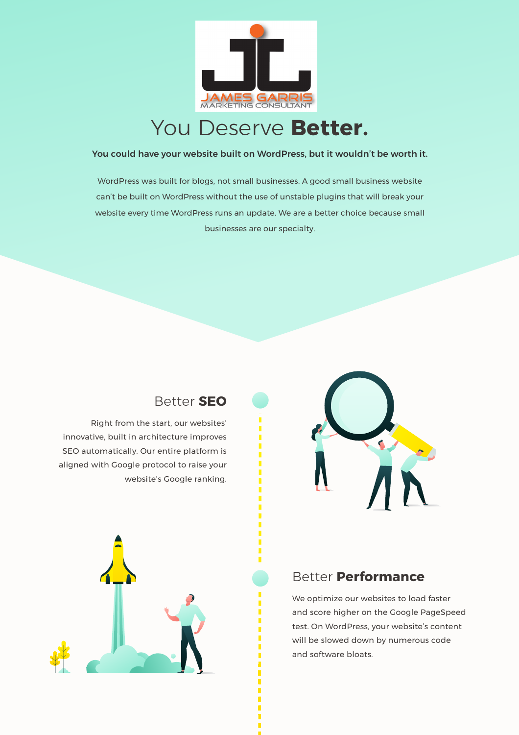

## You Deserve **Better.**

#### You could have your website built on WordPress, but it wouldn't be worth it.

WordPress was built for blogs, not small businesses. A good small business website can't be built on WordPress without the use of unstable plugins that will break your website every time WordPress runs an update. We are a better choice because small businesses are our specialty.



#### Better **SEO**

Right from the start, our websites' innovative, built in architecture improves SEO automatically. Our entire platform is aligned with Google protocol to raise your website's Google ranking.



#### Better **Performance**

We optimize our websites to load faster and score higher on the Google PageSpeed test. On WordPress, your website's content will be slowed down by numerous code and software bloats.